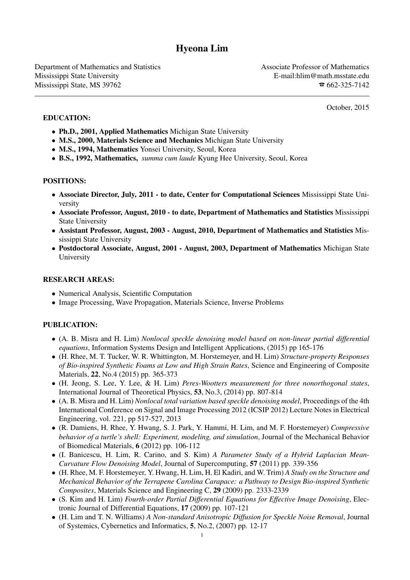# Hyeona Lim

Department of Mathematics and Statistics Associate Professor of Mathematics Associate Professor of Mathematics Mississippi State University E-mail:hlim@math.msstate.edu Mississippi State, MS 39762  $\overline{\bullet}$  662-325-7142

October, 2015

- Ph.D., 2001, Applied Mathematics Michigan State University
- M.S., 2000, Materials Science and Mechanics Michigan State University
- M.S., 1994, Mathematics Yonsei University, Seoul, Korea
- B.S., 1992, Mathematics, *summa cum laude* Kyung Hee University, Seoul, Korea

## POSITIONS:

EDUCATION:

- Associate Director, July, 2011 to date, Center for Computational Sciences Mississippi State University
- Associate Professor, August, 2010 to date, Department of Mathematics and Statistics Mississippi State University
- Assistant Professor, August, 2003 August, 2010, Department of Mathematics and Statistics Mississippi State University
- Postdoctoral Associate, August, 2001 August, 2003, Department of Mathematics Michigan State University

### RESEARCH AREAS:

- Numerical Analysis, Scientific Computation
- Image Processing, Wave Propagation, Materials Science, Inverse Problems

## PUBLICATION:

- (A. B. Misra and H. Lim) *Nonlocal speckle denoising model based on non-linear partial differential equations*, Information Systems Design and Intelligent Applications, (2015) pp 165-176
- (H. Rhee, M. T. Tucker, W. R. Whittington, M. Horstemeyer, and H. Lim) *Structure-property Responses of Bio-inspired Synthetic Foams at Low and High Strain Rates*, Science and Engineering of Composite Materials, 22, No.4 (2015) pp. 365-373
- (H. Jeong, S. Lee, Y. Lee, & H. Lim) *Peres-Wootters measurement for three nonorthogonal states*, International Journal of Theoretical Physics, 53, No.3, (2014) pp. 807-814
- (A. B. Misra and H. Lim) *Nonlocal total variation based speckle denoising model*, Proceedings of the 4th International Conference on Signal and Image Processing 2012 (ICSIP 2012) Lecture Notes in Electrical Engineering, vol. 221, pp 517-527, 2013
- (R. Damiens, H. Rhee, Y. Hwang, S. J. Park, Y. Hammi, H. Lim, and M. F. Horstemeyer) *Compressive behavior of a turtle's shell: Experiment, modeling, and simulation*, Journal of the Mechanical Behavior of Biomedical Materials, 6 (2012) pp. 106-112
- (I. Banicescu, H. Lim, R. Carino, and S. Kim) *A Parameter Study of a Hybrid Laplacian Mean-Curvature Flow Denoising Model*, Journal of Supercomputing, 57 (2011) pp. 339-356
- (H. Rhee, M. F. Horstemeyer, Y. Hwang, H. Lim, H. El Kadiri, and W. Trim) *A Study on the Structure and Mechanical Behavior of the Terrapene Carolina Carapace: a Pathway to Design Bio-inspired Synthetic Composites*, Materials Science and Engineering C, 29 (2009) pp. 2333-2339
- (S. Kim and H. Lim) *Fourth-order Partial Differential Equations for Effective Image Denoising*, Electronic Journal of Differential Equations, 17 (2009) pp. 107-121
- (H. Lim and T. N. Williams) *A Non-standard Anisotropic Diffusion for Speckle Noise Removal*, Journal of Systemics, Cybernetics and Informatics, 5, No.2, (2007) pp. 12-17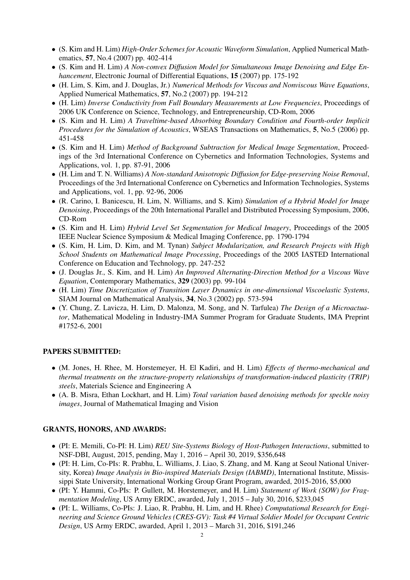- (S. Kim and H. Lim) *High-Order Schemes for Acoustic Waveform Simulation*, Applied Numerical Mathematics, 57, No.4 (2007) pp. 402-414
- (S. Kim and H. Lim) *A Non-convex Diffusion Model for Simultaneous Image Denoising and Edge Enhancement*, Electronic Journal of Differential Equations, 15 (2007) pp. 175-192
- (H. Lim, S. Kim, and J. Douglas, Jr.) *Numerical Methods for Viscous and Nonviscous Wave Equations*, Applied Numerical Mathematics, 57, No.2 (2007) pp. 194-212
- (H. Lim) *Inverse Conductivity from Full Boundary Measurements at Low Frequencies*, Proceedings of 2006 UK Conference on Science, Technology, and Entrepreneurship, CD-Rom, 2006
- (S. Kim and H. Lim) *A Traveltime-based Absorbing Boundary Condition and Fourth-order Implicit Procedures for the Simulation of Acoustics*, WSEAS Transactions on Mathematics, 5, No.5 (2006) pp. 451-458
- (S. Kim and H. Lim) *Method of Background Subtraction for Medical Image Segmentation*, Proceedings of the 3rd International Conference on Cybernetics and Information Technologies, Systems and Applications, vol. 1, pp. 87-91, 2006
- (H. Lim and T. N. Williams) *A Non-standard Anisotropic Diffusion for Edge-preserving Noise Removal*, Proceedings of the 3rd International Conference on Cybernetics and Information Technologies, Systems and Applications, vol. 1, pp. 92-96, 2006
- (R. Carino, I. Banicescu, H. Lim, N. Williams, and S. Kim) *Simulation of a Hybrid Model for Image Denoising*, Proceedings of the 20th International Parallel and Distributed Processing Symposium, 2006, CD-Rom
- (S. Kim and H. Lim) *Hybrid Level Set Segmentation for Medical Imagery*, Proceedings of the 2005 IEEE Nuclear Science Symposium & Medical Imaging Conference, pp. 1790-1794
- (S. Kim, H. Lim, D. Kim, and M. Tynan) *Subject Modularization, and Research Projects with High School Students on Mathematical Image Processing*, Proceedings of the 2005 IASTED International Conference on Education and Technology, pp. 247-252
- (J. Douglas Jr., S. Kim, and H. Lim) *An Improved Alternating-Direction Method for a Viscous Wave Equation*, Contemporary Mathematics, 329 (2003) pp. 99-104
- (H. Lim) *Time Discretization of Transition Layer Dynamics in one-dimensional Viscoelastic Systems*, SIAM Journal on Mathematical Analysis, 34, No.3 (2002) pp. 573-594
- (Y. Chung, Z. Lavicza, H. Lim, D. Malonza, M. Song, and N. Tarfulea) *The Design of a Microactuator*, Mathematical Modeling in Industry-IMA Summer Program for Graduate Students, IMA Preprint #1752-6, 2001

#### PAPERS SUBMITTED:

- (M. Jones, H. Rhee, M. Horstemeyer, H. El Kadiri, and H. Lim) *Effects of thermo-mechanical and thermal treatments on the structure-property relationships of transformation-induced plasticity (TRIP) steels*, Materials Science and Engineering A
- (A. B. Misra, Ethan Lockhart, and H. Lim) *Total variation based denoising methods for speckle noisy images*, Journal of Mathematical Imaging and Vision

#### GRANTS, HONORS, AND AWARDS:

- (PI: E. Memili, Co-PI: H. Lim) *REU Site-Systems Biology of Host-Pathogen Interactions*, submitted to NSF-DBI, August, 2015, pending, May 1, 2016 – April 30, 2019, \$356,648
- (PI: H. Lim, Co-PIs: R. Prabhu, L. Williams, J. Liao, S. Zhang, and M. Kang at Seoul National University, Korea) *Image Analysis in Bio-inspired Materials Design (IABMD)*, International Institute, Mississippi State University, International Working Group Grant Program, awarded, 2015-2016, \$5,000
- (PI: Y. Hammi, Co-PIs: P. Gullett, M. Horstemeyer, and H. Lim) *Statement of Work (SOW) for Fragmentation Modeling*, US Army ERDC, awarded, July 1, 2015 – July 30, 2016, \$233,045
- (PI: L. Williams, Co-PIs: J. Liao, R. Prabhu, H. Lim, and H. Rhee) *Computational Research for Engineering and Science Ground Vehicles (CRES-GV): Task #4 Virtual Soldier Model for Occupant Centric Design*, US Army ERDC, awarded, April 1, 2013 – March 31, 2016, \$191,246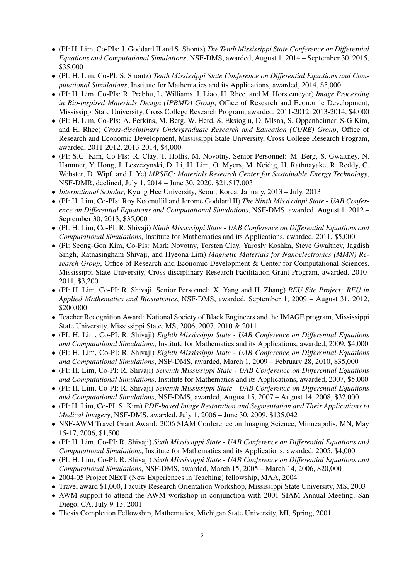- (PI: H. Lim, Co-PIs: J. Goddard II and S. Shontz) *The Tenth Mississippi State Conference on Differential Equations and Computational Simulations*, NSF-DMS, awarded, August 1, 2014 – September 30, 2015, \$35,000
- (PI: H. Lim, Co-PI: S. Shontz) *Tenth Mississippi State Conference on Differential Equations and Computational Simulations*, Institute for Mathematics and its Applications, awarded, 2014, \$5,000
- (PI: H. Lim, Co-PIs: R. Prabhu, L. Williams, J. Liao, H. Rhee, and M. Horstemeyer) *Image Processing in Bio-inspired Materials Design (IPBMD) Group*, Office of Research and Economic Development, Mississippi State University, Cross College Research Program, awarded, 2011-2012, 2013-2014, \$4,000
- (PI: H. Lim, Co-PIs: A. Perkins, M. Berg, W. Herd, S. Eksioglu, D. Mlsna, S. Oppenheimer, S-G Kim, and H. Rhee) *Cross-disciplinary Undergraduate Research and Education (CURE) Group*, Office of Research and Economic Development, Mississippi State University, Cross College Research Program, awarded, 2011-2012, 2013-2014, \$4,000
- (PI: S.G. Kim, Co-PIs: R. Clay, T. Hollis, M. Novotny, Senior Personnel: M. Berg, S. Gwaltney, N. Hammer, Y. Hong, J. Leszczynski, D. Li, H. Lim, O. Myers, M. Neidig, H. Rathnayake, R. Reddy, C. Webster, D. Wipf, and J. Ye) *MRSEC: Materials Research Center for Sustainable Energy Technology*, NSF-DMR, declined, July 1, 2014 – June 30, 2020, \$21,517,003
- *International Scholar*, Kyung Hee University, Seoul, Korea, January, 2013 July, 2013
- (PI: H. Lim, Co-PIs: Roy Koomullil and Jerome Goddard II) *The Ninth Mississippi State UAB Conference on Differential Equations and Computational Simulations*, NSF-DMS, awarded, August 1, 2012 – September 30, 2013, \$35,000
- (PI: H. Lim, Co-PI: R. Shivaji) *Ninth Mississippi State UAB Conference on Differential Equations and Computational Simulations*, Institute for Mathematics and its Applications, awarded, 2011, \$5,000
- (PI: Seong-Gon Kim, Co-PIs: Mark Novotny, Torsten Clay, Yaroslv Koshka, Steve Gwaltney, Jagdish Singh, Ratnasingham Shivaji, and Hyeona Lim) *Magnetic Materials for Nanoelectronics (MMN) Research Group*, Office of Research and Economic Development & Center for Computational Sciences, Mississippi State University, Cross-disciplinary Research Facilitation Grant Program, awarded, 2010- 2011, \$3,200
- (PI: H. Lim, Co-PI: R. Shivaji, Senior Personnel: X. Yang and H. Zhang) *REU Site Project: REU in Applied Mathematics and Biostatistics*, NSF-DMS, awarded, September 1, 2009 – August 31, 2012, \$200,000
- Teacher Recognition Award: National Society of Black Engineers and the IMAGE program, Mississippi State University, Mississippi State, MS, 2006, 2007, 2010 & 2011
- (PI: H. Lim, Co-PI: R. Shivaji) *Eighth Mississippi State UAB Conference on Differential Equations and Computational Simulations*, Institute for Mathematics and its Applications, awarded, 2009, \$4,000
- (PI: H. Lim, Co-PI: R. Shivaji) *Eighth Mississippi State UAB Conference on Differential Equations and Computational Simulations*, NSF-DMS, awarded, March 1, 2009 – February 28, 2010, \$35,000
- (PI: H. Lim, Co-PI: R. Shivaji) *Seventh Mississippi State UAB Conference on Differential Equations and Computational Simulations*, Institute for Mathematics and its Applications, awarded, 2007, \$5,000
- (PI: H. Lim, Co-PI: R. Shivaji) *Seventh Mississippi State UAB Conference on Differential Equations and Computational Simulations*, NSF-DMS, awarded, August 15, 2007 – August 14, 2008, \$32,000
- (PI: H. Lim, Co-PI: S. Kim) *PDE-based Image Restoration and Segmentation and Their Applications to Medical Imagery*, NSF-DMS, awarded, July 1, 2006 – June 30, 2009, \$135,042
- NSF-AWM Travel Grant Award: 2006 SIAM Conference on Imaging Science, Minneapolis, MN, May 15-17, 2006, \$1,500
- (PI: H. Lim, Co-PI: R. Shivaji) *Sixth Mississippi State UAB Conference on Differential Equations and Computational Simulations*, Institute for Mathematics and its Applications, awarded, 2005, \$4,000
- (PI: H. Lim, Co-PI: R. Shivaji) *Sixth Mississippi State UAB Conference on Differential Equations and Computational Simulations*, NSF-DMS, awarded, March 15, 2005 – March 14, 2006, \$20,000
- 2004-05 Project NExT (New Experiences in Teaching) fellowship, MAA, 2004
- Travel award \$1,000, Faculty Research Orientation Workshop, Mississippi State University, MS, 2003
- AWM support to attend the AWM workshop in conjunction with 2001 SIAM Annual Meeting, San Diego, CA, July 9-13, 2001
- Thesis Completion Fellowship, Mathematics, Michigan State University, MI, Spring, 2001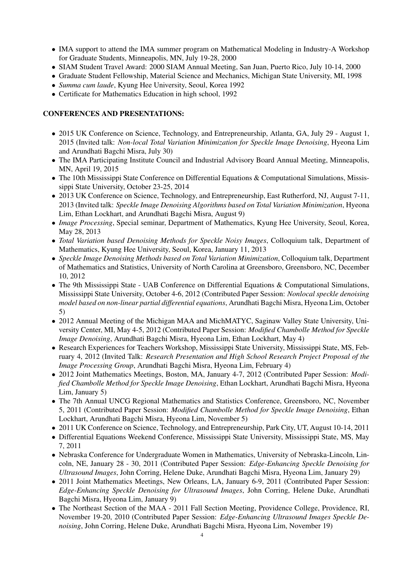- IMA support to attend the IMA summer program on Mathematical Modeling in Industry-A Workshop for Graduate Students, Minneapolis, MN, July 19-28, 2000
- SIAM Student Travel Award: 2000 SIAM Annual Meeting, San Juan, Puerto Rico, July 10-14, 2000
- Graduate Student Fellowship, Material Science and Mechanics, Michigan State University, MI, 1998
- *Summa cum laude*, Kyung Hee University, Seoul, Korea 1992
- Certificate for Mathematics Education in high school, 1992

# CONFERENCES AND PRESENTATIONS:

- 2015 UK Conference on Science, Technology, and Entrepreneurship, Atlanta, GA, July 29 August 1, 2015 (Invited talk: *Non-local Total Variation Minimization for Speckle Image Denoising*, Hyeona Lim and Arundhati Bagchi Misra, July 30)
- The IMA Participating Institute Council and Industrial Advisory Board Annual Meeting, Minneapolis, MN, April 19, 2015
- The 10th Mississippi State Conference on Differential Equations & Computational Simulations, Mississippi State University, October 23-25, 2014
- 2013 UK Conference on Science, Technology, and Entrepreneurship, East Rutherford, NJ, August 7-11, 2013 (Invited talk: *Speckle Image Denoising Algorithms based on Total Variation Minimization*, Hyeona Lim, Ethan Lockhart, and Arundhati Bagchi Misra, August 9)
- *Image Processing*, Special seminar, Department of Mathematics, Kyung Hee University, Seoul, Korea, May 28, 2013
- *Total Variation based Denoising Methods for Speckle Noisy Images*, Colloquium talk, Department of Mathematics, Kyung Hee University, Seoul, Korea, January 11, 2013
- *Speckle Image Denoising Methods based on Total Variation Minimization*, Colloquium talk, Department of Mathematics and Statistics, University of North Carolina at Greensboro, Greensboro, NC, December 10, 2012
- The 9th Mississippi State UAB Conference on Differential Equations & Computational Simulations, Mississippi State University, October 4-6, 2012 (Contributed Paper Session: *Nonlocal speckle denoising model based on non-linear partial differential equations*, Arundhati Bagchi Misra, Hyeona Lim, October 5)
- 2012 Annual Meeting of the Michigan MAA and MichMATYC, Saginaw Valley State University, University Center, MI, May 4-5, 2012 (Contributed Paper Session: *Modified Chambolle Method for Speckle Image Denoising*, Arundhati Bagchi Misra, Hyeona Lim, Ethan Lockhart, May 4)
- Research Experiences for Teachers Workshop, Mississippi State University, Mississippi State, MS, February 4, 2012 (Invited Talk: *Research Presentation and High School Research Project Proposal of the Image Processing Group*, Arundhati Bagchi Misra, Hyeona Lim, February 4)
- 2012 Joint Mathematics Meetings, Boston, MA, January 4-7, 2012 (Contributed Paper Session: *Modified Chambolle Method for Speckle Image Denoising*, Ethan Lockhart, Arundhati Bagchi Misra, Hyeona Lim, January 5)
- The 7th Annual UNCG Regional Mathematics and Statistics Conference, Greensboro, NC, November 5, 2011 (Contributed Paper Session: *Modified Chambolle Method for Speckle Image Denoising*, Ethan Lockhart, Arundhati Bagchi Misra, Hyeona Lim, November 5)
- 2011 UK Conference on Science, Technology, and Entrepreneurship, Park City, UT, August 10-14, 2011
- Differential Equations Weekend Conference, Mississippi State University, Mississippi State, MS, May 7, 2011
- Nebraska Conference for Undergraduate Women in Mathematics, University of Nebraska-Lincoln, Lincoln, NE, January 28 - 30, 2011 (Contributed Paper Session: *Edge-Enhancing Speckle Denoising for Ultrasound Images*, John Corring, Helene Duke, Arundhati Bagchi Misra, Hyeona Lim, January 29)
- 2011 Joint Mathematics Meetings, New Orleans, LA, January 6-9, 2011 (Contributed Paper Session: *Edge-Enhancing Speckle Denoising for Ultrasound Images*, John Corring, Helene Duke, Arundhati Bagchi Misra, Hyeona Lim, January 9)
- The Northeast Section of the MAA 2011 Fall Section Meeting, Providence College, Providence, RI, November 19-20, 2010 (Contributed Paper Session: *Edge-Enhancing Ultrasound Images Speckle Denoising*, John Corring, Helene Duke, Arundhati Bagchi Misra, Hyeona Lim, November 19)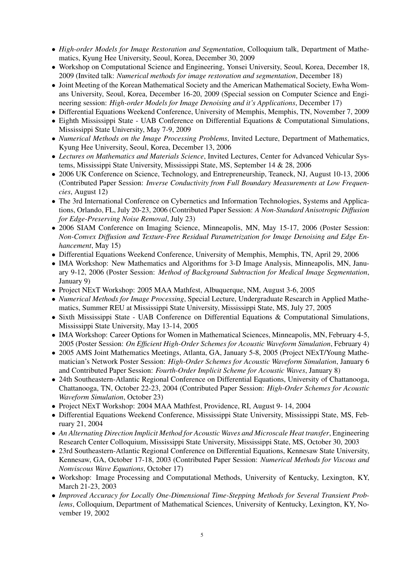- *High-order Models for Image Restoration and Segmentation*, Colloquium talk, Department of Mathematics, Kyung Hee University, Seoul, Korea, December 30, 2009
- Workshop on Computational Science and Engineering, Yonsei University, Seoul, Korea, December 18, 2009 (Invited talk: *Numerical methods for image restoration and segmentation*, December 18)
- Joint Meeting of the Korean Mathematical Society and the American Mathematical Society, Ewha Womans University, Seoul, Korea, December 16-20, 2009 (Special session on Computer Science and Engineering session: *High-order Models for Image Denoising and it's Applications*, December 17)
- Differential Equations Weekend Conference, University of Memphis, Memphis, TN, November 7, 2009
- Eighth Mississippi State UAB Conference on Differential Equations & Computational Simulations, Mississippi State University, May 7-9, 2009
- *Numerical Methods on the Image Processing Problems*, Invited Lecture, Department of Mathematics, Kyung Hee University, Seoul, Korea, December 13, 2006
- *Lectures on Mathematics and Materials Science*, Invited Lectures, Center for Advanced Vehicular Systems, Mississippi State University, Mississippi State, MS, September 14 & 28, 2006
- 2006 UK Conference on Science, Technology, and Entrepreneurship, Teaneck, NJ, August 10-13, 2006 (Contributed Paper Session: *Inverse Conductivity from Full Boundary Measurements at Low Frequencies*, August 12)
- The 3rd International Conference on Cybernetics and Information Technologies, Systems and Applications, Orlando, FL, July 20-23, 2006 (Contributed Paper Session: *A Non-Standard Anisotropic Diffusion for Edge-Preserving Noise Removal*, July 23)
- 2006 SIAM Conference on Imaging Science, Minneapolis, MN, May 15-17, 2006 (Poster Session: *Non-Convex Diffusion and Texture-Free Residual Parametrization for Image Denoising and Edge Enhancement*, May 15)
- Differential Equations Weekend Conference, University of Memphis, Memphis, TN, April 29, 2006
- IMA Workshop: New Mathematics and Algorithms for 3-D Image Analysis, Minneapolis, MN, January 9-12, 2006 (Poster Session: *Method of Background Subtraction for Medical Image Segmentation*, January 9)
- Project NExT Workshop: 2005 MAA Mathfest, Albuquerque, NM, August 3-6, 2005
- *Numerical Methods for Image Processing*, Special Lecture, Undergraduate Research in Applied Mathematics, Summer REU at Mississippi State University, Mississippi State, MS, July 27, 2005
- Sixth Mississippi State UAB Conference on Differential Equations & Computational Simulations, Mississippi State University, May 13-14, 2005
- IMA Workshop: Career Options for Women in Mathematical Sciences, Minneapolis, MN, February 4-5, 2005 (Poster Session: *On Efficient High-Order Schemes for Acoustic Waveform Simulation*, February 4)
- 2005 AMS Joint Mathematics Meetings, Atlanta, GA, January 5-8, 2005 (Project NExT/Young Mathematician's Network Poster Session: *High-Order Schemes for Acoustic Waveform Simulation*, January 6 and Contributed Paper Session: *Fourth-Order Implicit Scheme for Acoustic Waves*, January 8)
- 24th Southeastern-Atlantic Regional Conference on Differential Equations, University of Chattanooga, Chattanooga, TN, October 22-23, 2004 (Contributed Paper Session: *High-Order Schemes for Acoustic Waveform Simulation*, October 23)
- Project NExT Workshop: 2004 MAA Mathfest, Providence, RI, August 9- 14, 2004
- Differential Equations Weekend Conference, Mississippi State University, Mississippi State, MS, February 21, 2004
- An Alternating Direction Implicit Method for Acoustic Waves and Microscale Heat transfer, Engineering Research Center Colloquium, Mississippi State University, Mississippi State, MS, October 30, 2003
- 23rd Southeastern-Atlantic Regional Conference on Differential Equations, Kennesaw State University, Kennesaw, GA, October 17-18, 2003 (Contributed Paper Session: *Numerical Methods for Viscous and Nonviscous Wave Equations*, October 17)
- Workshop: Image Processing and Computational Methods, University of Kentucky, Lexington, KY, March 21-23, 2003
- *Improved Accuracy for Locally One-Dimensional Time-Stepping Methods for Several Transient Problems*, Colloquium, Department of Mathematical Sciences, University of Kentucky, Lexington, KY, November 19, 2002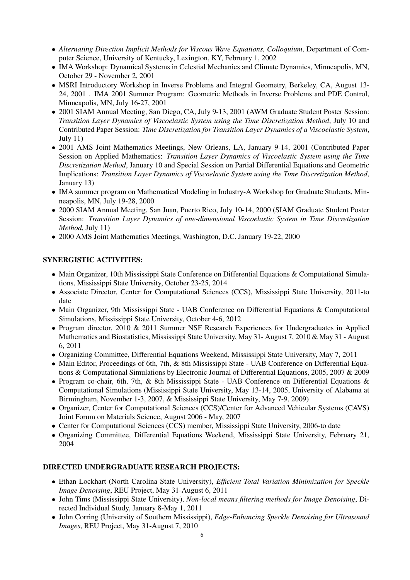- *Alternating Direction Implicit Methods for Viscous Wave Equations, Colloquium*, Department of Computer Science, University of Kentucky, Lexington, KY, February 1, 2002
- IMA Workshop: Dynamical Systems in Celestial Mechanics and Climate Dynamics, Minneapolis, MN, October 29 - November 2, 2001
- MSRI Introductory Workshop in Inverse Problems and Integral Geometry, Berkeley, CA, August 13- 24, 2001 . IMA 2001 Summer Program: Geometric Methods in Inverse Problems and PDE Control, Minneapolis, MN, July 16-27, 2001
- 2001 SIAM Annual Meeting, San Diego, CA, July 9-13, 2001 (AWM Graduate Student Poster Session: *Transition Layer Dynamics of Viscoelastic System using the Time Discretization Method*, July 10 and Contributed Paper Session: *Time Discretization for Transition Layer Dynamics of a Viscoelastic System*, July 11)
- 2001 AMS Joint Mathematics Meetings, New Orleans, LA, January 9-14, 2001 (Contributed Paper Session on Applied Mathematics: *Transition Layer Dynamics of Viscoelastic System using the Time Discretization Method*, January 10 and Special Session on Partial Differential Equations and Geometric Implications: *Transition Layer Dynamics of Viscoelastic System using the Time Discretization Method*, January 13)
- IMA summer program on Mathematical Modeling in Industry-A Workshop for Graduate Students, Minneapolis, MN, July 19-28, 2000
- 2000 SIAM Annual Meeting, San Juan, Puerto Rico, July 10-14, 2000 (SIAM Graduate Student Poster Session: *Transition Layer Dynamics of one-dimensional Viscoelastic System in Time Discretization Method*, July 11)
- 2000 AMS Joint Mathematics Meetings, Washington, D.C. January 19-22, 2000

# SYNERGISTIC ACTIVITIES:

- Main Organizer, 10th Mississippi State Conference on Differential Equations & Computational Simulations, Mississippi State University, October 23-25, 2014
- Associate Director, Center for Computational Sciences (CCS), Mississippi State University, 2011-to date
- Main Organizer, 9th Mississippi State UAB Conference on Differential Equations & Computational Simulations, Mississippi State University, October 4-6, 2012
- Program director, 2010 & 2011 Summer NSF Research Experiences for Undergraduates in Applied Mathematics and Biostatistics, Mississippi State University, May 31- August 7, 2010 & May 31 - August 6, 2011
- Organizing Committee, Differential Equations Weekend, Mississippi State University, May 7, 2011
- Main Editor, Proceedings of 6th, 7th, & 8th Mississippi State UAB Conference on Differential Equations & Computational Simulations by Electronic Journal of Differential Equations, 2005, 2007 & 2009
- Program co-chair, 6th, 7th, & 8th Mississippi State UAB Conference on Differential Equations & Computational Simulations (Mississippi State University, May 13-14, 2005, University of Alabama at Birmingham, November 1-3, 2007, & Mississippi State University, May 7-9, 2009)
- Organizer, Center for Computational Sciences (CCS)/Center for Advanced Vehicular Systems (CAVS) Joint Forum on Materials Science, August 2006 - May, 2007
- Center for Computational Sciences (CCS) member, Mississippi State University, 2006-to date
- Organizing Committee, Differential Equations Weekend, Mississippi State University, February 21, 2004

# DIRECTED UNDERGRADUATE RESEARCH PROJECTS:

- Ethan Lockhart (North Carolina State University), *Efficient Total Variation Minimization for Speckle Image Denoising*, REU Project, May 31-August 6, 2011
- John Tims (Mississippi State University), *Non-local means filtering methods for Image Denoising*, Directed Individual Study, January 8-May 1, 2011
- John Corring (University of Southern Mississippi), *Edge-Enhancing Speckle Denoising for Ultrasound Images*, REU Project, May 31-August 7, 2010